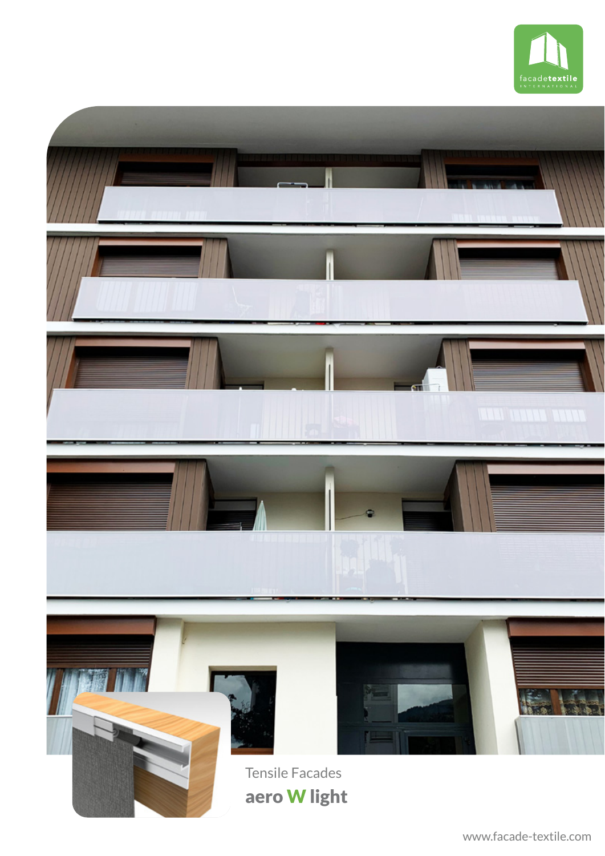



www.facade-textile.com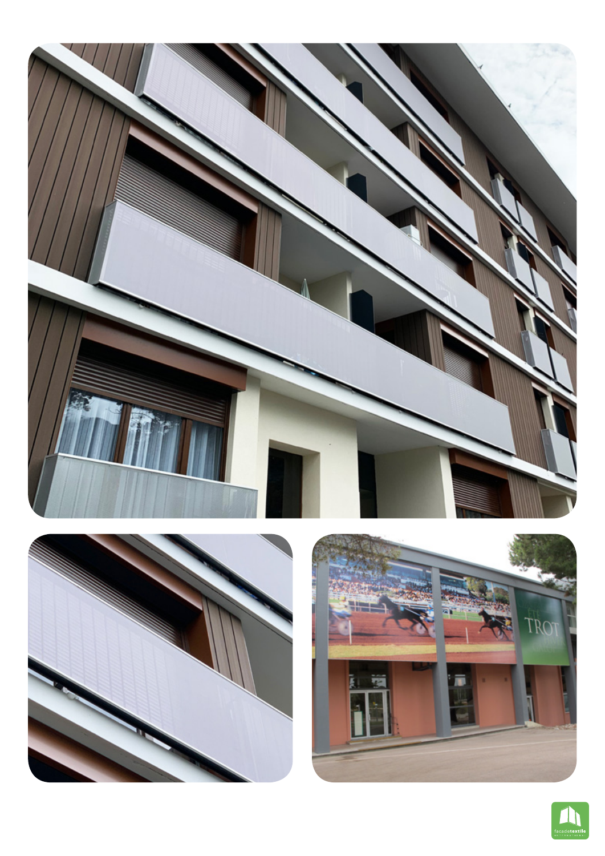



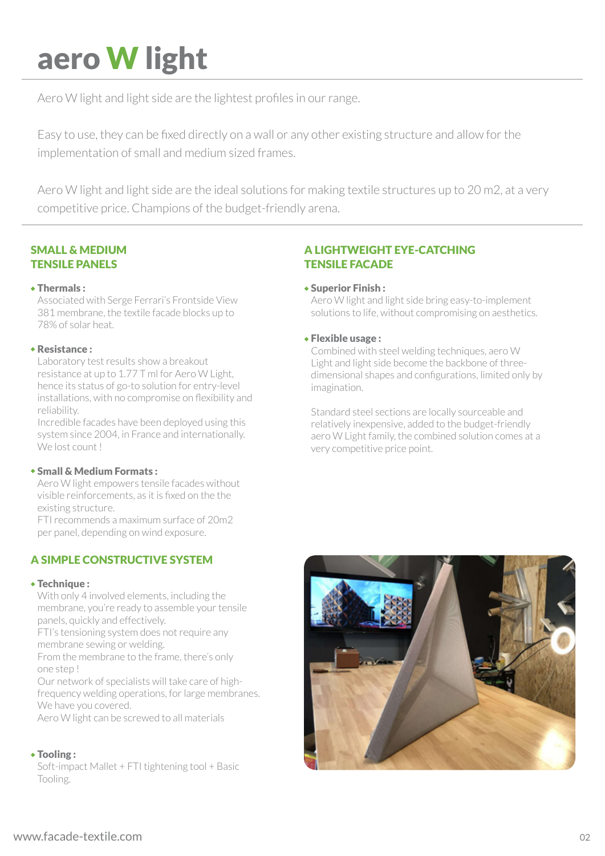# aero W light

Aero W light and light side are the lightest profiles in our range.

Easy to use, they can be fixed directly on a wall or any other existing structure and allow for the implementation of small and medium sized frames.

Aero W light and light side are the ideal solutions for making textile structures up to 20 m2, at a very competitive price. Champions of the budget-friendly arena.

# SMALL & MEDIUM TENSILE PANELS

#### Thermals :

Associated with Serge Ferrari's Frontside View 381 membrane, the textile facade blocks up to 78% of solar heat.

#### Resistance :

Laboratory test results show a breakout resistance at up to 1.77 T ml for Aero W Light, hence its status of go-to solution for entry-level installations, with no compromise on flexibility and reliability.

Incredible facades have been deployed using this system since 2004, in France and internationally. We lost count!

## Small & Medium Formats :

Aero W light empowers tensile facades without visible reinforcements, as it is fixed on the the existing structure.

FTI recommends a maximum surface of 20m2 per panel, depending on wind exposure.

# A SIMPLE CONSTRUCTIVE SYSTEM

#### **\* Technique :**

With only 4 involved elements, including the membrane, you're ready to assemble your tensile panels, quickly and effectively.

FTI's tensioning system does not require any membrane sewing or welding.

From the membrane to the frame, there's only one step !

Our network of specialists will take care of highfrequency welding operations, for large membranes. We have you covered.

Aero W light can be screwed to all materials

## Tooling :

Soft-impact Mallet + FTI tightening tool + Basic Tooling.

# A LIGHTWEIGHT EYE-CATCHING TENSILE FACADE

#### Superior Finish :

Aero W light and light side bring easy-to-implement solutions to life, without compromising on aesthetics.

#### Flexible usage :

Combined with steel welding techniques, aero W Light and light side become the backbone of threedimensional shapes and configurations, limited only by imagination.

Standard steel sections are locally sourceable and relatively inexpensive, added to the budget-friendly aero W Light family, the combined solution comes at a very competitive price point.

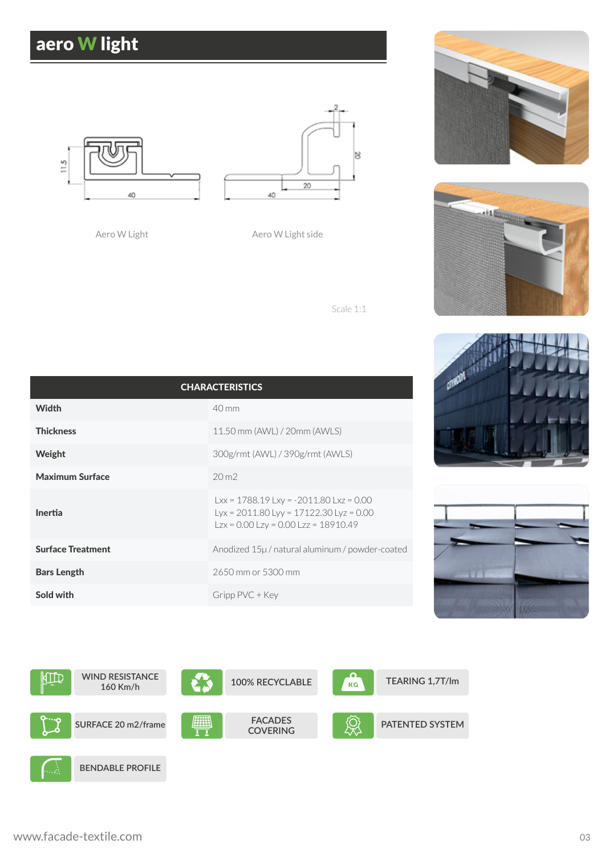# aero W light





Aero W Light Aero W Light side

Scale 1:1







| <b>CHARACTERISTICS</b>   |                                                                                                                                        |  |  |
|--------------------------|----------------------------------------------------------------------------------------------------------------------------------------|--|--|
| <b>Width</b>             | 40 mm                                                                                                                                  |  |  |
| <b>Thickness</b>         | 11.50 mm (AWL) / 20mm (AWLS)                                                                                                           |  |  |
| Weight                   | 300g/rmt (AWL) / 390g/rmt (AWLS)                                                                                                       |  |  |
| <b>Maximum Surface</b>   | 20 <sub>m2</sub>                                                                                                                       |  |  |
| Inertia                  | Lxx = 1788.19 Lxy = -2011.80 Lxz = 0.00<br>Lyx = $2011.80$ Lyy = $17122.30$ Lyz = $0.00$<br>$Lzx = 0.00$ $Lzy = 0.00$ $Lzz = 18910.49$ |  |  |
| <b>Surface Treatment</b> | Anodized 15µ/natural aluminum/powder-coated                                                                                            |  |  |
| <b>Bars Length</b>       | 2650 mm or 5300 mm                                                                                                                     |  |  |
| Sold with                | Gripp PVC + Key                                                                                                                        |  |  |





.<br>....

**BENDABLE PROFILE**